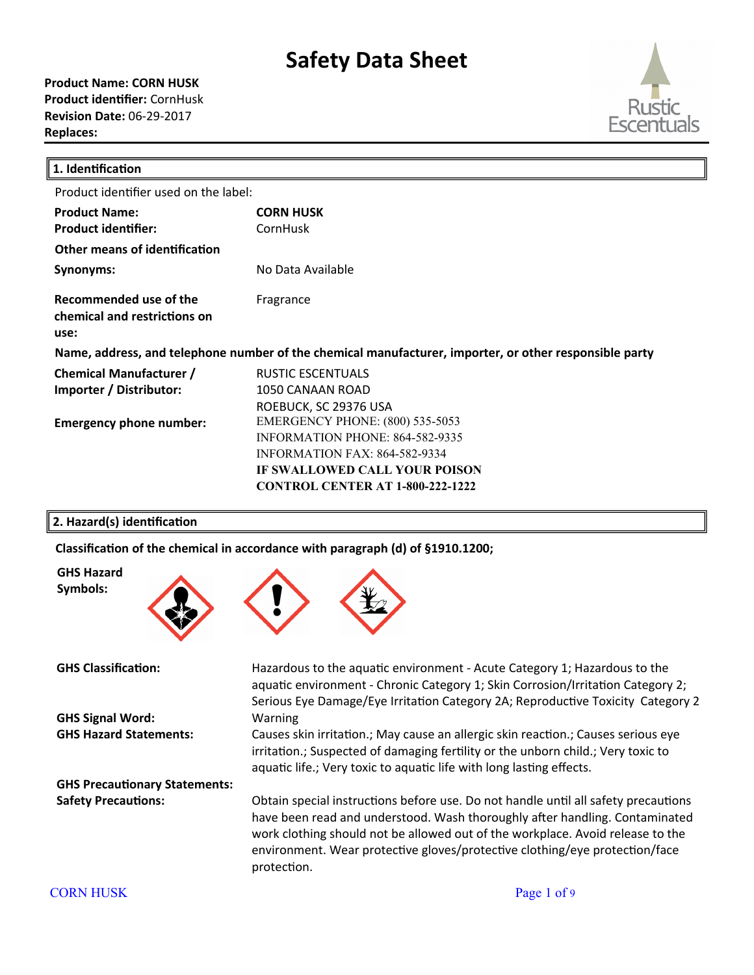

| 1. Identification                                                                                      |                                         |  |  |
|--------------------------------------------------------------------------------------------------------|-----------------------------------------|--|--|
| Product identifier used on the label:                                                                  |                                         |  |  |
| <b>Product Name:</b>                                                                                   | <b>CORN HUSK</b>                        |  |  |
| <b>Product identifier:</b>                                                                             | CornHusk                                |  |  |
| Other means of identification                                                                          |                                         |  |  |
| Synonyms:                                                                                              | No Data Available                       |  |  |
| Recommended use of the<br>chemical and restrictions on<br>use:                                         | Fragrance                               |  |  |
| Name, address, and telephone number of the chemical manufacturer, importer, or other responsible party |                                         |  |  |
| <b>Chemical Manufacturer /</b>                                                                         | <b>RUSTIC ESCENTUALS</b>                |  |  |
| Importer / Distributor:                                                                                | 1050 CANAAN ROAD                        |  |  |
|                                                                                                        | ROEBUCK, SC 29376 USA                   |  |  |
| <b>Emergency phone number:</b>                                                                         | <b>EMERGENCY PHONE: (800) 535-5053</b>  |  |  |
|                                                                                                        | <b>INFORMATION PHONE: 864-582-9335</b>  |  |  |
|                                                                                                        | <b>INFORMATION FAX: 864-582-9334</b>    |  |  |
|                                                                                                        | IF SWALLOWED CALL YOUR POISON           |  |  |
|                                                                                                        | <b>CONTROL CENTER AT 1-800-222-1222</b> |  |  |

# **2. Hazard(s) identification**

Classification of the chemical in accordance with paragraph (d) of §1910.1200;



**GHS Hazard Symbols:**

**GHS Signal Word:** Warning

**GHS Precautionary Statements:**



**GHS Classification:** Hazardous to the aquatic environment - Acute Category 1; Hazardous to the aquatic environment - Chronic Category 1; Skin Corrosion/Irritation Category 2; Serious Eye Damage/Eye Irritation Category 2A; Reproductive Toxicity Category 2

**GHS Hazard Statements:** Causes skin irritaton.; May cause an allergic skin reacton.; Causes serious eye irritation.; Suspected of damaging fertility or the unborn child.; Very toxic to aquatic life.; Very toxic to aquatic life with long lasting effects.

Safety Precautions: Obtain special instructions before use. Do not handle until all safety precautions have been read and understood. Wash thoroughly after handling. Contaminated work clothing should not be allowed out of the workplace. Avoid release to the environment. Wear protective gloves/protective clothing/eye protection/face protection.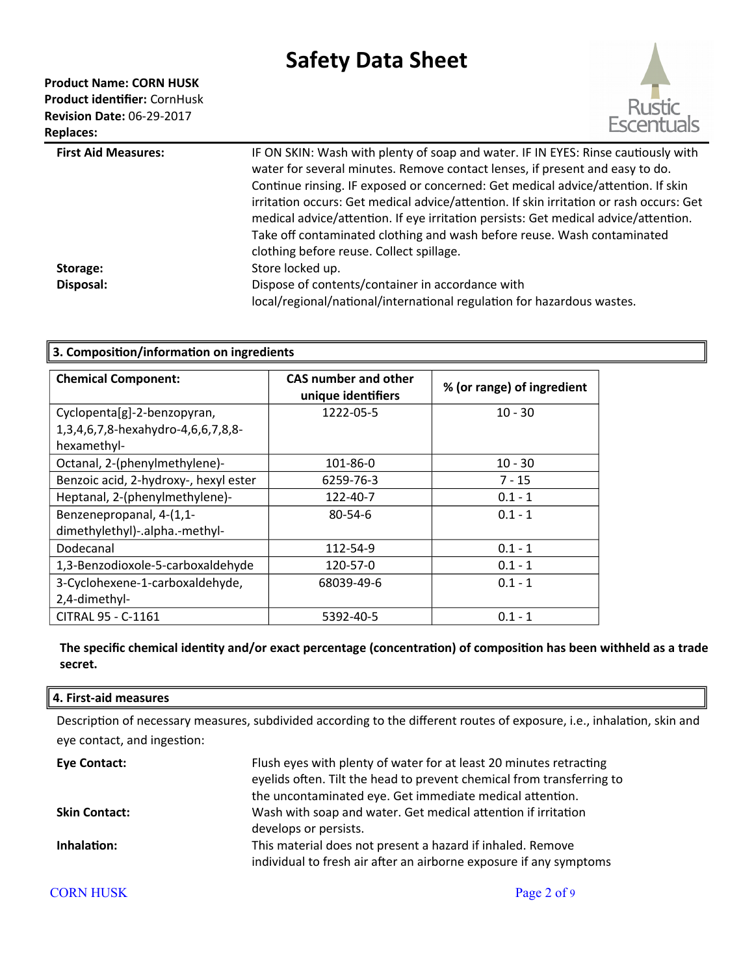# **Product Name: CORN HUSK**

**Product identifier:** CornHusk **Revision Date:** 06-29-2017 **Replaces:** 



| <b>First Aid Measures:</b> | IF ON SKIN: Wash with plenty of soap and water. IF IN EYES: Rinse cautiously with<br>water for several minutes. Remove contact lenses, if present and easy to do.<br>Continue rinsing. IF exposed or concerned: Get medical advice/attention. If skin     |
|----------------------------|-----------------------------------------------------------------------------------------------------------------------------------------------------------------------------------------------------------------------------------------------------------|
|                            | irritation occurs: Get medical advice/attention. If skin irritation or rash occurs: Get<br>medical advice/attention. If eye irritation persists: Get medical advice/attention.<br>Take off contaminated clothing and wash before reuse. Wash contaminated |
|                            | clothing before reuse. Collect spillage.                                                                                                                                                                                                                  |
| Storage:                   | Store locked up.                                                                                                                                                                                                                                          |
| Disposal:                  | Dispose of contents/container in accordance with                                                                                                                                                                                                          |
|                            | local/regional/national/international regulation for hazardous wastes.                                                                                                                                                                                    |

# **3. Composition/information on ingredients**

| <b>Chemical Component:</b>            | CAS number and other<br>unique identifiers | % (or range) of ingredient |
|---------------------------------------|--------------------------------------------|----------------------------|
| Cyclopenta[g]-2-benzopyran,           | 1222-05-5                                  | $10 - 30$                  |
| 1,3,4,6,7,8-hexahydro-4,6,6,7,8,8-    |                                            |                            |
| hexamethyl-                           |                                            |                            |
| Octanal, 2-(phenylmethylene)-         | 101-86-0                                   | $10 - 30$                  |
| Benzoic acid, 2-hydroxy-, hexyl ester | 6259-76-3                                  | $7 - 15$                   |
| Heptanal, 2-(phenylmethylene)-        | 122-40-7                                   | $0.1 - 1$                  |
| Benzenepropanal, 4-(1,1-              | $80 - 54 - 6$                              | $0.1 - 1$                  |
| dimethylethyl)-.alpha.-methyl-        |                                            |                            |
| Dodecanal                             | 112-54-9                                   | $0.1 - 1$                  |
| 1,3-Benzodioxole-5-carboxaldehyde     | 120-57-0                                   | $0.1 - 1$                  |
| 3-Cyclohexene-1-carboxaldehyde,       | 68039-49-6                                 | $0.1 - 1$                  |
| 2,4-dimethyl-                         |                                            |                            |
| CITRAL 95 - C-1161                    | 5392-40-5                                  | $0.1 - 1$                  |

# **The specific chemical identity and/or exact percentage (concentration) of composition has been withheld as a trade secret.**

#### **4. First-aid measures**

Description of necessary measures, subdivided according to the different routes of exposure, i.e., inhalation, skin and eye contact, and ingestion:

| Eye Contact:         | Flush eyes with plenty of water for at least 20 minutes retracting<br>eyelids often. Tilt the head to prevent chemical from transferring to<br>the uncontaminated eye. Get immediate medical attention. |
|----------------------|---------------------------------------------------------------------------------------------------------------------------------------------------------------------------------------------------------|
| <b>Skin Contact:</b> | Wash with soap and water. Get medical attention if irritation<br>develops or persists.                                                                                                                  |
| Inhalation:          | This material does not present a hazard if inhaled. Remove<br>individual to fresh air after an airborne exposure if any symptoms                                                                        |

# CORN HUSK Page 2 of 9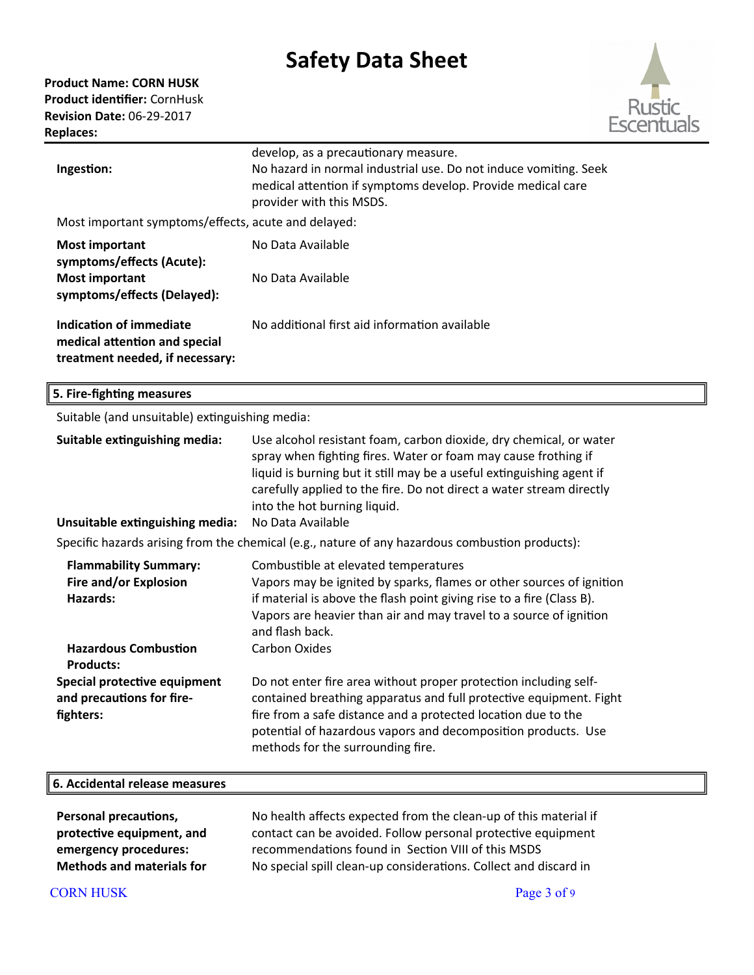

| Ingestion:                                                                                  | develop, as a precautionary measure.<br>No hazard in normal industrial use. Do not induce vomiting. Seek<br>medical attention if symptoms develop. Provide medical care<br>provider with this MSDS. |  |  |
|---------------------------------------------------------------------------------------------|-----------------------------------------------------------------------------------------------------------------------------------------------------------------------------------------------------|--|--|
| Most important symptoms/effects, acute and delayed:                                         |                                                                                                                                                                                                     |  |  |
| <b>Most important</b><br>symptoms/effects (Acute):                                          | No Data Available                                                                                                                                                                                   |  |  |
| <b>Most important</b><br>symptoms/effects (Delayed):                                        | No Data Available                                                                                                                                                                                   |  |  |
| Indication of immediate<br>medical attention and special<br>treatment needed, if necessary: | No additional first aid information available                                                                                                                                                       |  |  |

| 5. Fire-fighting measures                                                                        |                                                                                                                                                                                                                                                                                                                                            |  |  |
|--------------------------------------------------------------------------------------------------|--------------------------------------------------------------------------------------------------------------------------------------------------------------------------------------------------------------------------------------------------------------------------------------------------------------------------------------------|--|--|
| Suitable (and unsuitable) extinguishing media:                                                   |                                                                                                                                                                                                                                                                                                                                            |  |  |
| Suitable extinguishing media:<br>Unsuitable extinguishing media:                                 | Use alcohol resistant foam, carbon dioxide, dry chemical, or water<br>spray when fighting fires. Water or foam may cause frothing if<br>liquid is burning but it still may be a useful extinguishing agent if<br>carefully applied to the fire. Do not direct a water stream directly<br>into the hot burning liquid.<br>No Data Available |  |  |
| Specific hazards arising from the chemical (e.g., nature of any hazardous combustion products):  |                                                                                                                                                                                                                                                                                                                                            |  |  |
| <b>Flammability Summary:</b><br>Fire and/or Explosion<br>Hazards:<br><b>Hazardous Combustion</b> | Combustible at elevated temperatures<br>Vapors may be ignited by sparks, flames or other sources of ignition<br>if material is above the flash point giving rise to a fire (Class B).<br>Vapors are heavier than air and may travel to a source of ignition<br>and flash back.<br><b>Carbon Oxides</b>                                     |  |  |
| <b>Products:</b>                                                                                 |                                                                                                                                                                                                                                                                                                                                            |  |  |
| Special protective equipment<br>and precautions for fire-<br>fighters:                           | Do not enter fire area without proper protection including self-<br>contained breathing apparatus and full protective equipment. Fight<br>fire from a safe distance and a protected location due to the<br>potential of hazardous vapors and decomposition products. Use<br>methods for the surrounding fire.                              |  |  |
| 6. Accidental release measures                                                                   |                                                                                                                                                                                                                                                                                                                                            |  |  |
| Dovenia Avenouticae                                                                              | No health offects ovnested from the close un of this material if                                                                                                                                                                                                                                                                           |  |  |

| <b>Personal precautions,</b>     | No health affects expected from the clean-up of this material if |
|----------------------------------|------------------------------------------------------------------|
| protective equipment, and        | contact can be avoided. Follow personal protective equipment     |
| emergency procedures:            | recommendations found in Section VIII of this MSDS               |
| <b>Methods and materials for</b> | No special spill clean-up considerations. Collect and discard in |
|                                  |                                                                  |

# CORN HUSK Page 3 of 9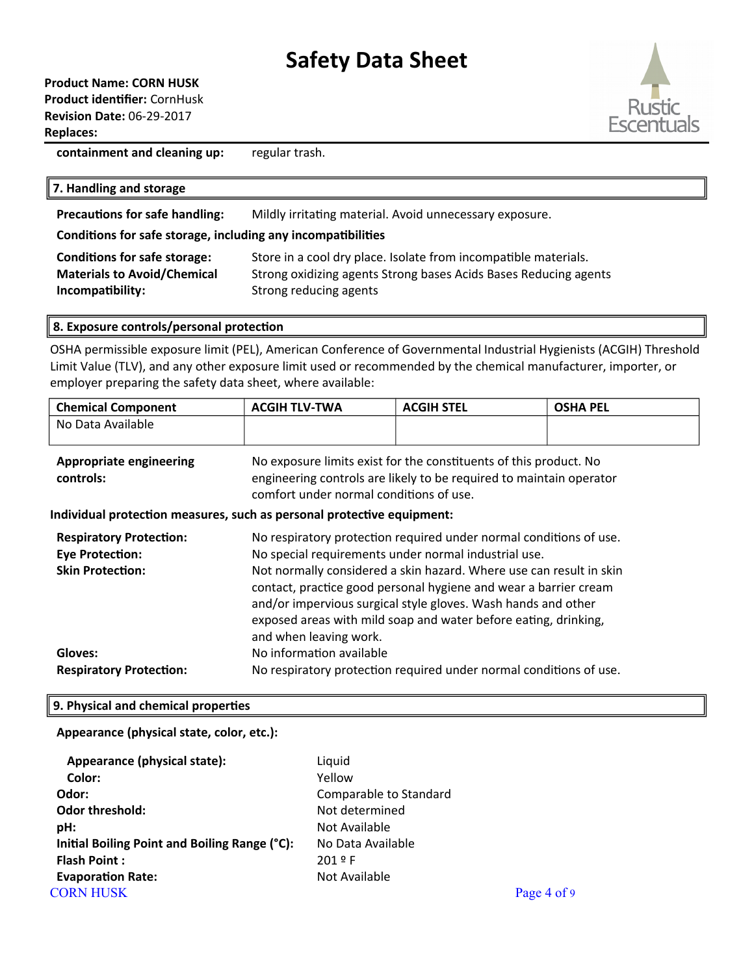# **Product Name: CORN HUSK Product identifier:** CornHusk **Revision Date:** 06-29-2017 **Replaces:**



**containment and cleaning up:** regular trash.

### **7. Handling and storage**

**Precautions for safe handling:** Mildly irritating material. Avoid unnecessary exposure.

### **Conditions for safe storage, including any incompatibilities**

| <b>Conditions for safe storage:</b> | Store in a cool dry place. Isolate from incompatible materials.  |
|-------------------------------------|------------------------------------------------------------------|
| <b>Materials to Avoid/Chemical</b>  | Strong oxidizing agents Strong bases Acids Bases Reducing agents |
| Incompatibility:                    | Strong reducing agents                                           |

#### **8. Exposure controls/personal protection**

OSHA permissible exposure limit (PEL), American Conference of Governmental Industrial Hygienists (ACGIH) Threshold Limit Value (TLV), and any other exposure limit used or recommended by the chemical manufacturer, importer, or employer preparing the safety data sheet, where available:

| <b>Chemical Component</b> | <b>ACGIH TLV-TWA</b> | <b>ACGIH STEL</b> | <b>OSHA PEL</b> |
|---------------------------|----------------------|-------------------|-----------------|
| No Data Available         |                      |                   |                 |
|                           |                      |                   |                 |

| Appropriate engineering | No exposure limits exist for the constituents of this product. No   |  |  |
|-------------------------|---------------------------------------------------------------------|--|--|
| controls:               | engineering controls are likely to be required to maintain operator |  |  |
|                         | comfort under normal conditions of use.                             |  |  |

**Individual protection measures, such as personal protective equipment:**

| <b>Respiratory Protection:</b> | No respiratory protection required under normal conditions of use.                                                                                                                                                             |
|--------------------------------|--------------------------------------------------------------------------------------------------------------------------------------------------------------------------------------------------------------------------------|
| <b>Eye Protection:</b>         | No special requirements under normal industrial use.                                                                                                                                                                           |
| <b>Skin Protection:</b>        | Not normally considered a skin hazard. Where use can result in skin                                                                                                                                                            |
|                                | contact, practice good personal hygiene and wear a barrier cream<br>and/or impervious surgical style gloves. Wash hands and other<br>exposed areas with mild soap and water before eating, drinking,<br>and when leaving work. |
| Gloves:                        | No information available                                                                                                                                                                                                       |
| <b>Respiratory Protection:</b> | No respiratory protection required under normal conditions of use.                                                                                                                                                             |

### **9. Physical and chemical properties**

### **Appearance (physical state, color, etc.):**

| Appearance (physical state):                  | Liquid                 |             |
|-----------------------------------------------|------------------------|-------------|
| Color:                                        | Yellow                 |             |
| Odor:                                         | Comparable to Standard |             |
| <b>Odor threshold:</b>                        | Not determined         |             |
| pH:                                           | Not Available          |             |
| Initial Boiling Point and Boiling Range (°C): | No Data Available      |             |
| <b>Flash Point:</b>                           | $2019$ F               |             |
| <b>Evaporation Rate:</b>                      | Not Available          |             |
| <b>CORN HUSK</b>                              |                        | Page 4 of 9 |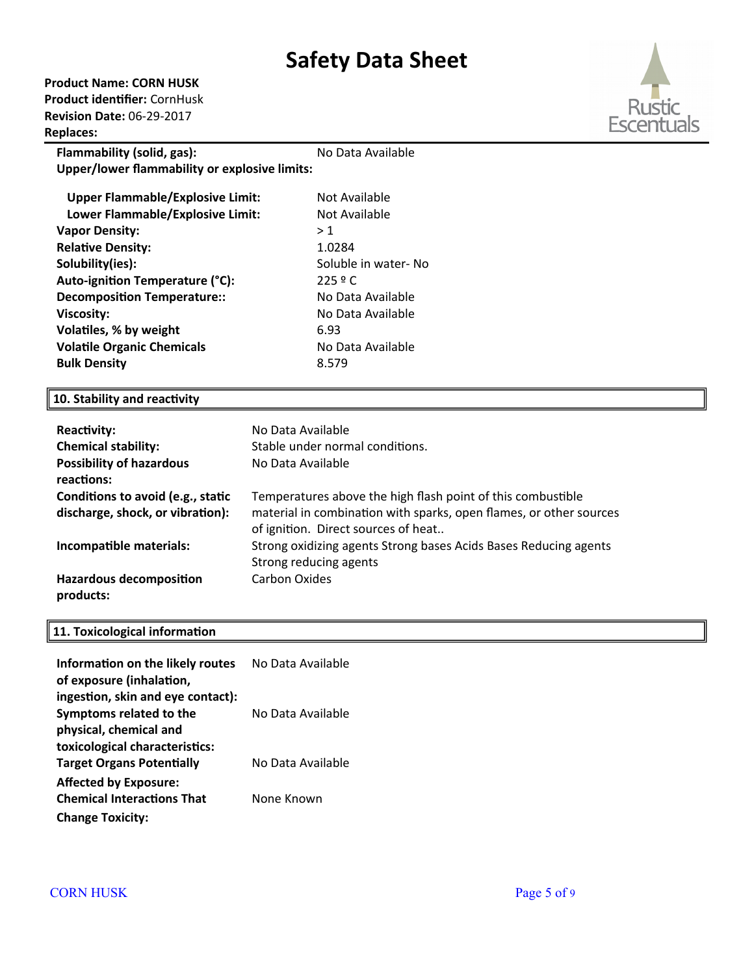**Product Name: CORN HUSK Product identifier:** CornHusk **Revision Date:** 06-29-2017 **Replaces:** 



| Flammability (solid, gas):                    | No Data Available    |  |  |  |  |
|-----------------------------------------------|----------------------|--|--|--|--|
| Upper/lower flammability or explosive limits: |                      |  |  |  |  |
| <b>Upper Flammable/Explosive Limit:</b>       | Not Available        |  |  |  |  |
| Lower Flammable/Explosive Limit:              | Not Available        |  |  |  |  |
| <b>Vapor Density:</b>                         | > 1                  |  |  |  |  |
| <b>Relative Density:</b>                      | 1.0284               |  |  |  |  |
| Solubility(ies):                              | Soluble in water- No |  |  |  |  |
| Auto-ignition Temperature (°C):               | 225 º C              |  |  |  |  |
| Decomposition Temperature::                   | No Data Available    |  |  |  |  |
| <b>Viscosity:</b>                             | No Data Available    |  |  |  |  |
| Volatiles, % by weight                        | 6.93                 |  |  |  |  |
| <b>Volatile Organic Chemicals</b>             | No Data Available    |  |  |  |  |
| <b>Bulk Density</b>                           | 8.579                |  |  |  |  |
|                                               |                      |  |  |  |  |

# **10. Stability and reactivity**

| <b>Reactivity:</b><br><b>Chemical stability:</b><br><b>Possibility of hazardous</b><br>reactions: | No Data Available<br>Stable under normal conditions.<br>No Data Available                                                                                                |
|---------------------------------------------------------------------------------------------------|--------------------------------------------------------------------------------------------------------------------------------------------------------------------------|
| Conditions to avoid (e.g., static<br>discharge, shock, or vibration):                             | Temperatures above the high flash point of this combustible<br>material in combination with sparks, open flames, or other sources<br>of ignition. Direct sources of heat |
| Incompatible materials:                                                                           | Strong oxidizing agents Strong bases Acids Bases Reducing agents<br>Strong reducing agents                                                                               |
| <b>Hazardous decomposition</b><br>products:                                                       | Carbon Oxides                                                                                                                                                            |

# **11. Toxicological information**

| Information on the likely routes  | No Data Available |
|-----------------------------------|-------------------|
| of exposure (inhalation,          |                   |
| ingestion, skin and eye contact): |                   |
| Symptoms related to the           | No Data Available |
| physical, chemical and            |                   |
| toxicological characteristics:    |                   |
| <b>Target Organs Potentially</b>  | No Data Available |
| <b>Affected by Exposure:</b>      |                   |
| <b>Chemical Interactions That</b> | None Known        |
| <b>Change Toxicity:</b>           |                   |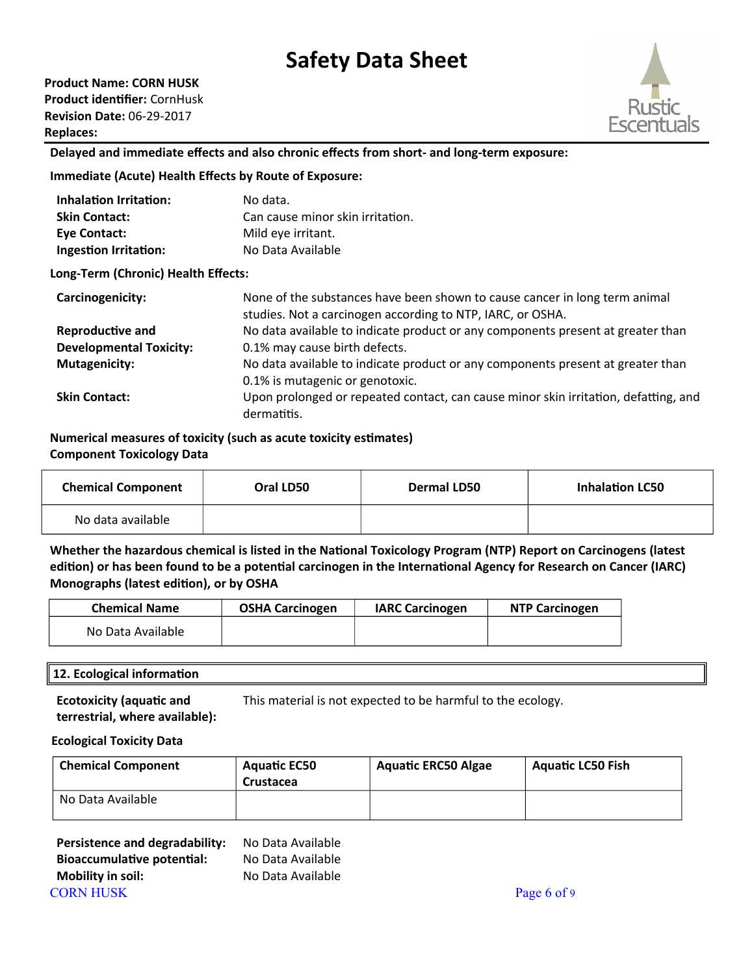**Product Name: CORN HUSK Product identifier:** CornHusk **Revision Date:** 06-29-2017 **Replaces:** 



### **Delayed and immediate effects and also chronic effects from short- and long-term exposure:**

#### **Immediate (Acute) Health Effects by Route of Exposure:**

| <b>Inhalation Irritation:</b>       | No data.                                                                                                                                 |
|-------------------------------------|------------------------------------------------------------------------------------------------------------------------------------------|
| <b>Skin Contact:</b>                | Can cause minor skin irritation.                                                                                                         |
| Eye Contact:                        | Mild eye irritant.                                                                                                                       |
| <b>Ingestion Irritation:</b>        | No Data Available                                                                                                                        |
| Long-Term (Chronic) Health Effects: |                                                                                                                                          |
| Carcinogenicity:                    | None of the substances have been shown to cause cancer in long term animal<br>studies. Not a carcinogen according to NTP, IARC, or OSHA. |
| Reproductive and                    | No data available to indicate product or any components present at greater than                                                          |
| <b>Developmental Toxicity:</b>      | 0.1% may cause birth defects.                                                                                                            |
| <b>Mutagenicity:</b>                | No data available to indicate product or any components present at greater than                                                          |
|                                     | 0.1% is mutagenic or genotoxic.                                                                                                          |
| <b>Skin Contact:</b>                | Upon prolonged or repeated contact, can cause minor skin irritation, defatting, and<br>dermatitis.                                       |

#### **Numerical measures of toxicity (such as acute toxicity estimates) Component Toxicology Data**

| <b>Chemical Component</b> | Oral LD50 | <b>Dermal LD50</b> | <b>Inhalation LC50</b> |
|---------------------------|-----------|--------------------|------------------------|
| No data available         |           |                    |                        |

**Whether the hazardous chemical is listed in the National Toxicology Program (NTP) Report on Carcinogens (latest edition) or has been found to be a potential carcinogen in the International Agency for Research on Cancer (IARC) Monographs (latest edition), or by OSHA**

| <b>Chemical Name</b> | <b>OSHA Carcinogen</b> | <b>IARC Carcinogen</b> | <b>NTP Carcinogen</b> |
|----------------------|------------------------|------------------------|-----------------------|
| No Data Available    |                        |                        |                       |

### **12. Ecological information**

**Ecotoxicity (aquatic and terrestrial, where available):** This material is not expected to be harmful to the ecology.

#### **Ecological Toxicity Data**

| <b>Chemical Component</b> | <b>Aquatic EC50</b><br>Crustacea | <b>Aquatic ERC50 Algae</b> | <b>Aquatic LC50 Fish</b> |
|---------------------------|----------------------------------|----------------------------|--------------------------|
| No Data Available         |                                  |                            |                          |

| Persistence and degradability: | No Data Available |             |
|--------------------------------|-------------------|-------------|
| Bioaccumulative potential:     | No Data Available |             |
| Mobility in soil:              | No Data Available |             |
| <b>CORN HUSK</b>               |                   | Page 6 of 9 |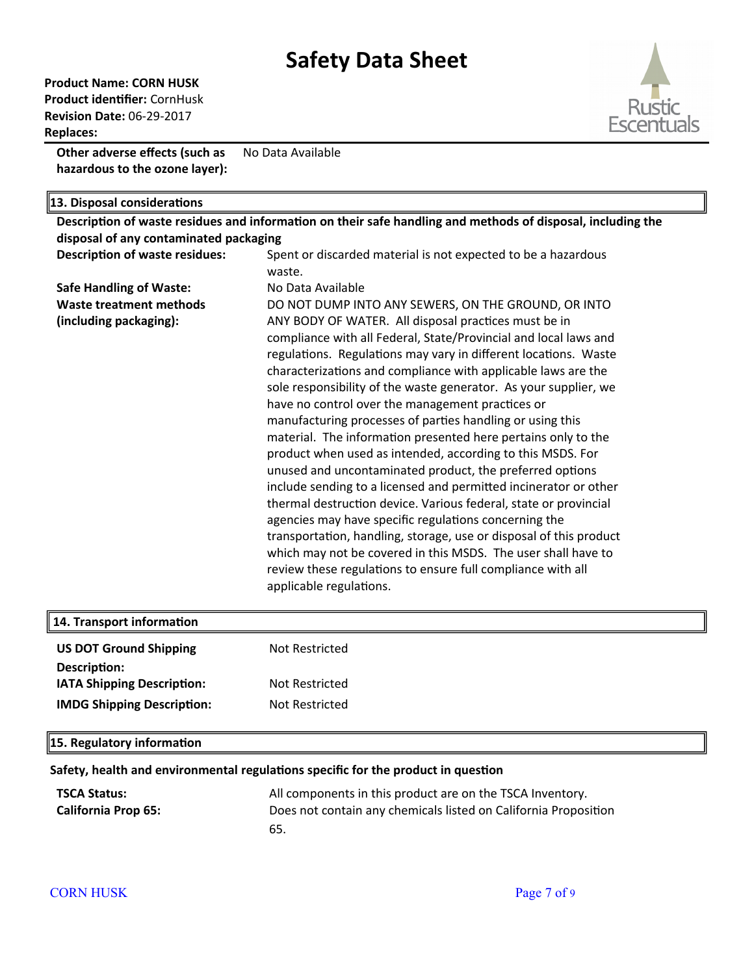**Product Name: CORN HUSK Product identifier:** CornHusk **Revision Date:** 06-29-2017 **Replaces:** 

**Other adverse effects (such as hazardous to the ozone layer):** No Data Available

**13. Disposal considerations Description of waste residues and information on their safe handling and methods of disposal, including the disposal of any contaminated packaging Description of waste residues:** Spent or discarded material is not expected to be a hazardous waste. **Safe Handling of Waste:** No Data Available **Waste treatment methods (including packaging):**  DO NOT DUMP INTO ANY SEWERS, ON THE GROUND, OR INTO ANY BODY OF WATER. All disposal practices must be in compliance with all Federal, State/Provincial and local laws and regulations. Regulations may vary in different locations. Waste characterizatons and compliance with applicable laws are the sole responsibility of the waste generator. As your supplier, we have no control over the management practices or manufacturing processes of partes handling or using this material. The information presented here pertains only to the product when used as intended, according to this MSDS. For unused and uncontaminated product, the preferred optons include sending to a licensed and permited incinerator or other thermal destruction device. Various federal, state or provincial agencies may have specific regulations concerning the transportation, handling, storage, use or disposal of this product which may not be covered in this MSDS. The user shall have to review these regulations to ensure full compliance with all applicable regulations.

| 14. Transport information         |                |
|-----------------------------------|----------------|
| <b>US DOT Ground Shipping</b>     | Not Restricted |
| Description:                      |                |
| <b>IATA Shipping Description:</b> | Not Restricted |
| <b>IMDG Shipping Description:</b> | Not Restricted |
|                                   |                |

#### **15. Regulatory information**

#### **Safety, health and environmental regulations specific for the product in question**

| <b>TSCA Status:</b>        | All components in this product are on the TSCA Inventory.       |
|----------------------------|-----------------------------------------------------------------|
| <b>California Prop 65:</b> | Does not contain any chemicals listed on California Proposition |
|                            | 65.                                                             |

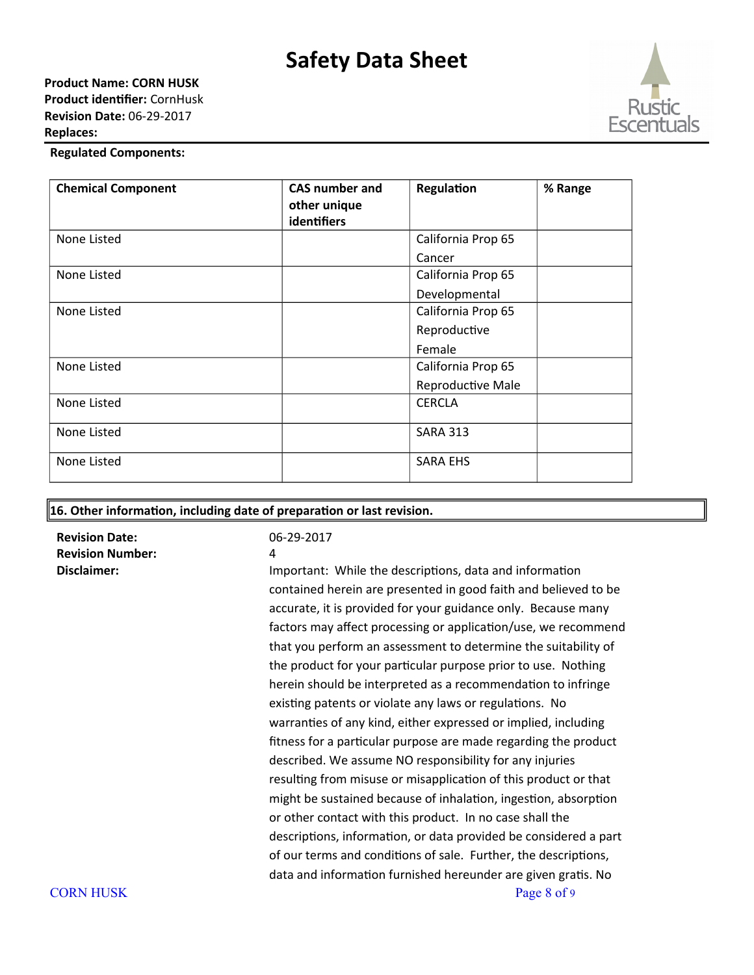

### **Regulated Components:**

| <b>Chemical Component</b> | <b>CAS number and</b><br>other unique<br><b>identifiers</b> | Regulation         | % Range |
|---------------------------|-------------------------------------------------------------|--------------------|---------|
| None Listed               |                                                             | California Prop 65 |         |
|                           |                                                             | Cancer             |         |
| None Listed               |                                                             | California Prop 65 |         |
|                           |                                                             | Developmental      |         |
| None Listed               |                                                             | California Prop 65 |         |
|                           |                                                             | Reproductive       |         |
|                           |                                                             | Female             |         |
| None Listed               |                                                             | California Prop 65 |         |
|                           |                                                             | Reproductive Male  |         |
| None Listed               |                                                             | <b>CERCLA</b>      |         |
| None Listed               |                                                             | <b>SARA 313</b>    |         |
| None Listed               |                                                             | <b>SARA EHS</b>    |         |

#### **16. Other information, including date of preparation or last revision.**

**Revision Date:** 06-29-2017 **Revision Number:** 4

**Disclaimer: Important: While the descriptions, data and information** contained herein are presented in good faith and believed to be accurate, it is provided for your guidance only. Because many factors may affect processing or application/use, we recommend that you perform an assessment to determine the suitability of the product for your particular purpose prior to use. Nothing herein should be interpreted as a recommendation to infringe existing patents or violate any laws or regulations. No warranties of any kind, either expressed or implied, including fitness for a particular purpose are made regarding the product described. We assume NO responsibility for any injuries resulting from misuse or misapplication of this product or that might be sustained because of inhalation, ingestion, absorption or other contact with this product. In no case shall the descriptions, information, or data provided be considered a part of our terms and conditions of sale. Further, the descriptions, data and information furnished hereunder are given gratis. No CORN HUSK Page 8 of 9